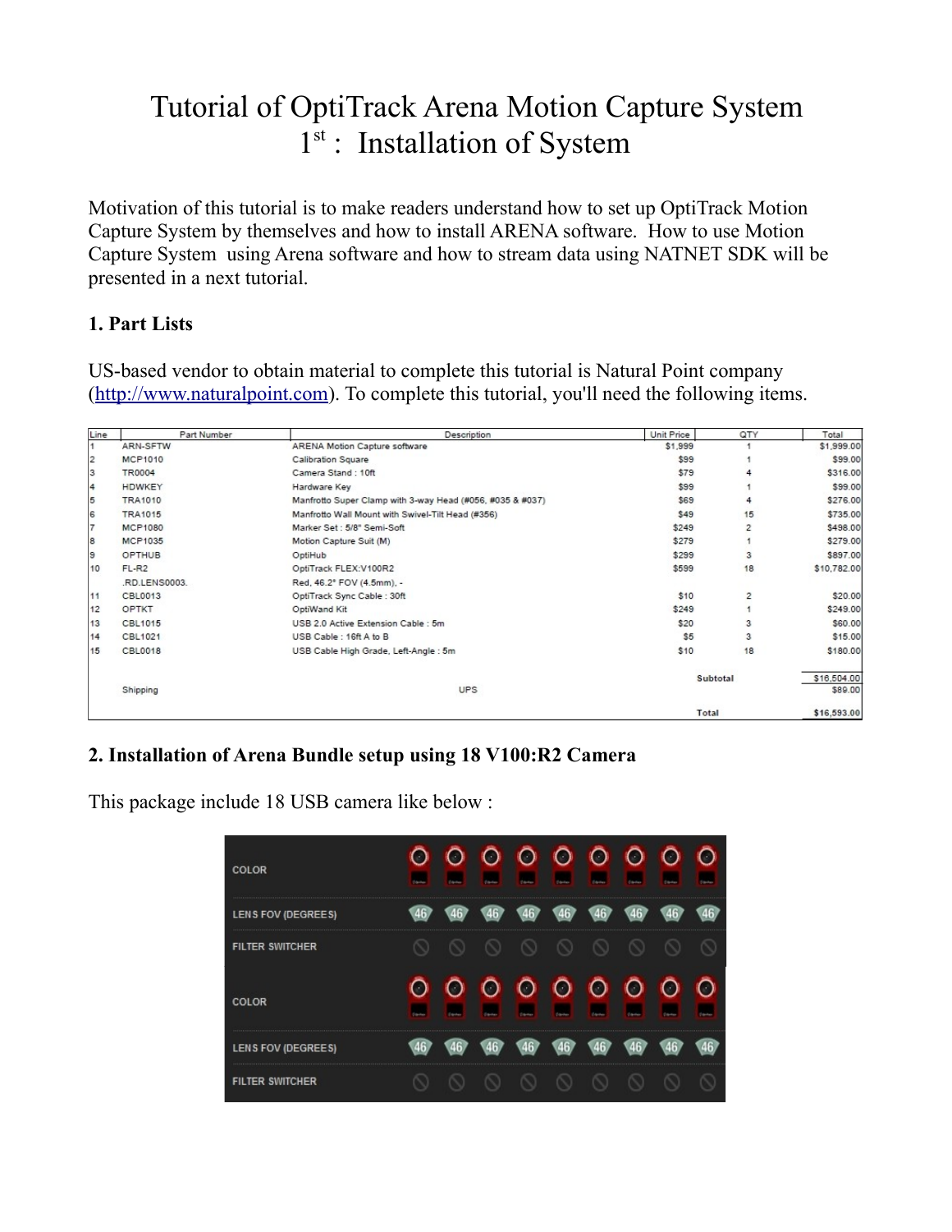## Tutorial of OptiTrack Arena Motion Capture System 1<sup>st</sup> : Installation of System

Motivation of this tutorial is to make readers understand how to set up OptiTrack Motion Capture System by themselves and how to install ARENA software. How to use Motion Capture System using Arena software and how to stream data using NATNET SDK will be presented in a next tutorial.

## **1. Part Lists**

US-based vendor to obtain material to complete this tutorial is Natural Point company [\(http://www.naturalpoint.com\)](http://www.naturalpoint.com/). To complete this tutorial, you'll need the following items.

| Line           | Part Number            | Description                                               | Unit Price | QTY            | Total                  |
|----------------|------------------------|-----------------------------------------------------------|------------|----------------|------------------------|
| 1              | ARN-SFTW               | <b>ARENA Motion Capture software</b>                      | \$1,999    |                | \$1,999.00             |
| $\overline{2}$ | <b>MCP1010</b>         | <b>Calibration Square</b>                                 | \$99       |                | \$99.00                |
| 3              | <b>TR0004</b>          | Camera Stand: 10ft                                        | \$79       |                | \$316.00               |
| $\overline{4}$ | HDWKEY                 | Hardware Key                                              | \$99       |                | \$99.00                |
| 5              | <b>TRA1010</b>         | Manfrotto Super Clamp with 3-way Head (#056, #035 & #037) | \$69       |                | \$276.00               |
| 6              | <b>TRA1015</b>         | Manfrotto Wall Mount with Swivel-Tilt Head (#356)         | \$49       | 15             | \$735.00               |
| $\overline{7}$ | <b>MCP1080</b>         | Marker Set: 5/8" Semi-Soft                                | \$249      | 2              | \$498.00               |
| 8              | <b>MCP1035</b>         | Motion Capture Suit (M)                                   | \$279      |                | \$279.00               |
| 9              | <b>OPTHUB</b>          | OptiHub                                                   | \$299      | 3              | \$897.00               |
| 10             | $FL-R2$                | OptiTrack FLEX:V100R2                                     | \$599      | 18             | \$10,782.00            |
|                | .RD.LENS0003.          | Red, 46.2° FOV (4.5mm), -                                 |            |                |                        |
| 11             | <b>CBL0013</b>         | OptiTrack Sync Cable : 30ft                               | \$10       | $\overline{2}$ | \$20.00                |
| 12             | OPTKT                  | OptiWand Kit                                              | \$249      |                | \$249.00               |
| 13             | CBL1015                | USB 2.0 Active Extension Cable : 5m                       | \$20       | 3              | \$60.00                |
| 14             | CBL1021                | USB Cable: 16ft A to B                                    | \$5        | 3              | \$15.00                |
| 15             | <b>CBL0018</b>         | USB Cable High Grade, Left-Angle: 5m                      | \$10       | 18             | \$180.00               |
|                | <b>UPS</b><br>Shipping |                                                           | Subtotal   |                | \$16,504.00<br>\$89.00 |
|                |                        |                                                           | Total      |                | \$16,593.00            |

## **2. Installation of Arena Bundle setup using 18 V100:R2 Camera**

| COLOR                  |  |  |  |  |  |
|------------------------|--|--|--|--|--|
| LENS FOV (DEGREES)     |  |  |  |  |  |
| <b>FILTER SWITCHER</b> |  |  |  |  |  |
| <b>COLOR</b>           |  |  |  |  |  |
| LENS FOV (DEGREES)     |  |  |  |  |  |
| <b>FILTER SWITCHER</b> |  |  |  |  |  |

This package include 18 USB camera like below :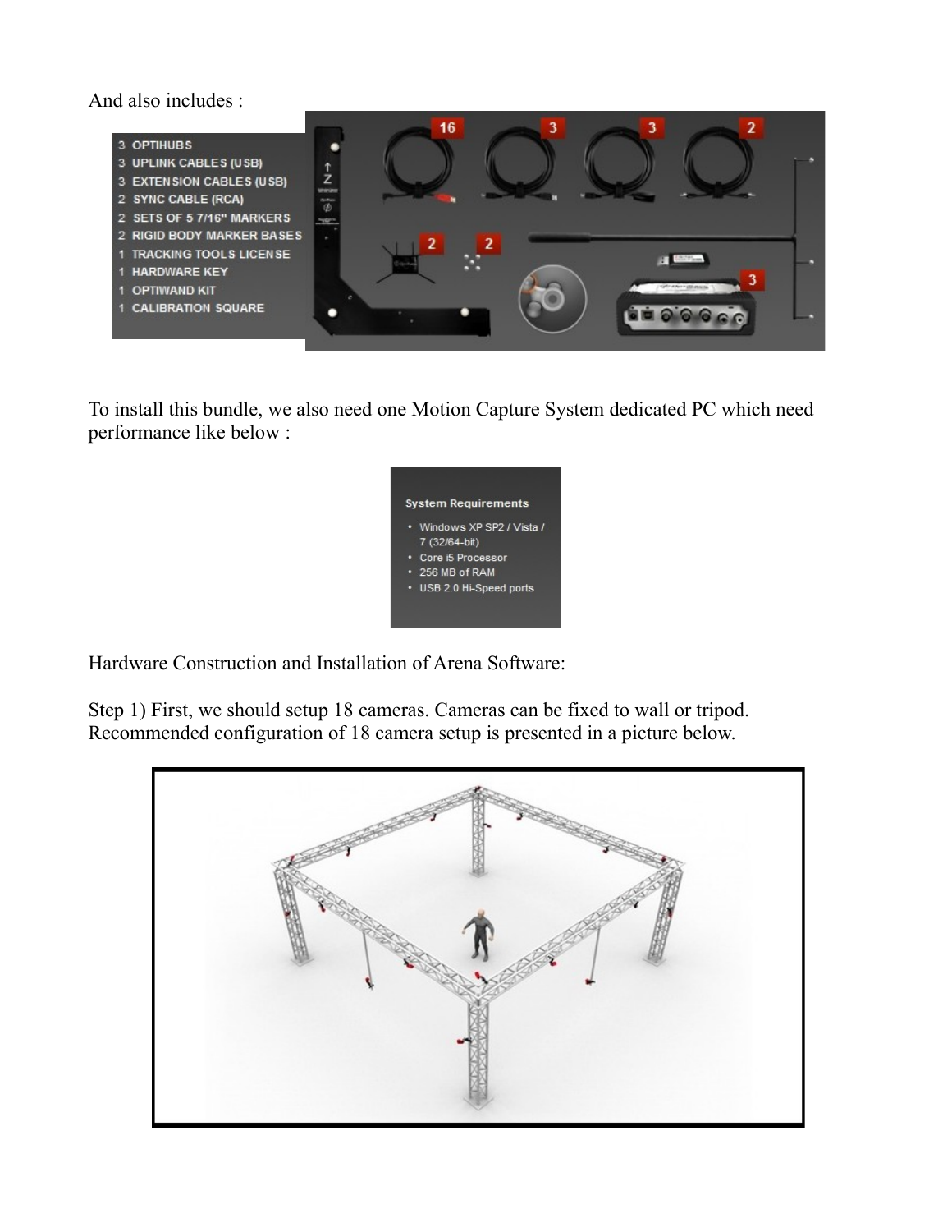And also includes :



To install this bundle, we also need one Motion Capture System dedicated PC which need performance like below :

Hardware Construction and Installation of Arena Software:

Step 1) First, we should setup 18 cameras. Cameras can be fixed to wall or tripod. Recommended configuration of 18 camera setup is presented in a picture below.

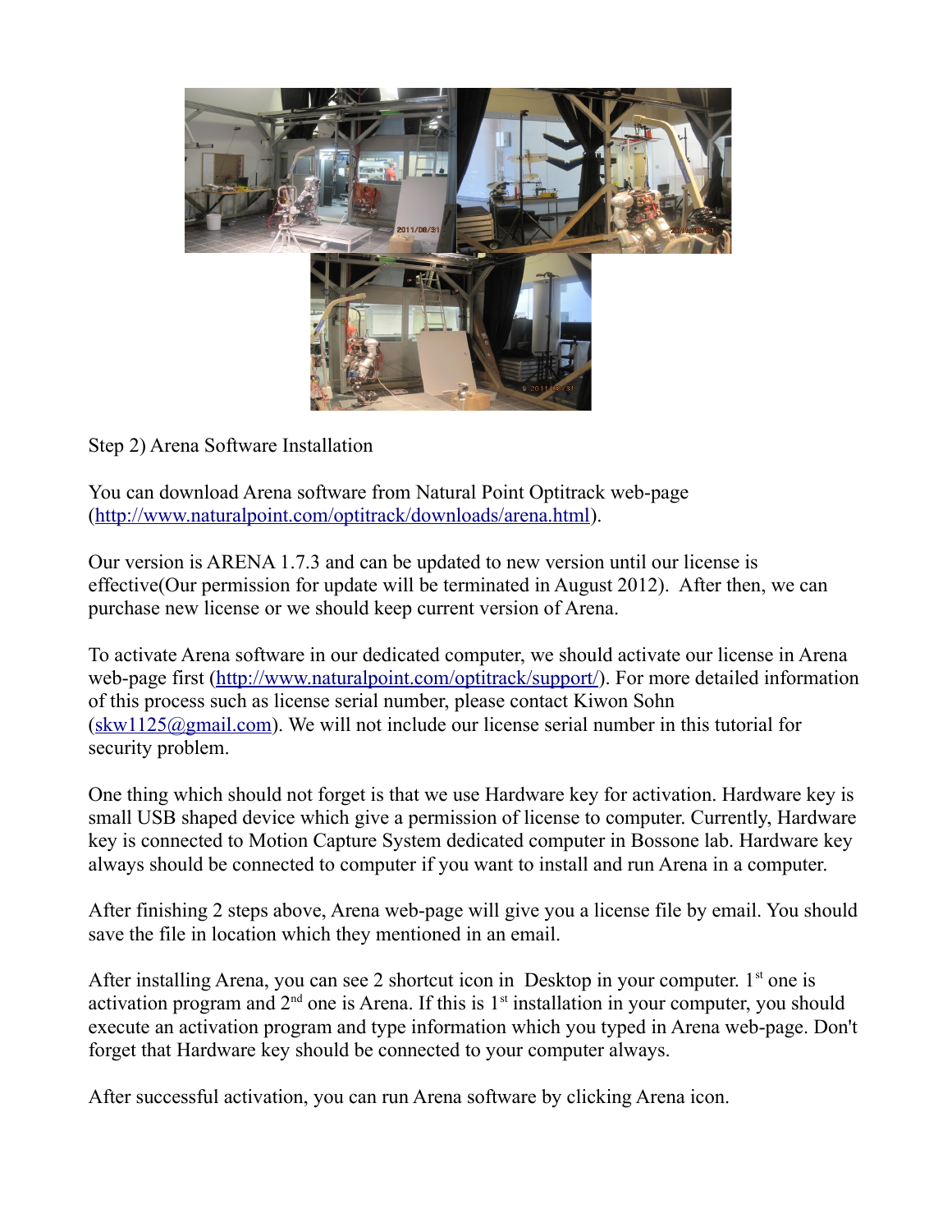

Step 2) Arena Software Installation

You can download Arena software from Natural Point Optitrack web-page [\(http://www.naturalpoint.com/optitrack/downloads/arena.html\)](http://www.naturalpoint.com/optitrack/downloads/arena.html).

Our version is ARENA 1.7.3 and can be updated to new version until our license is effective(Our permission for update will be terminated in August 2012). After then, we can purchase new license or we should keep current version of Arena.

To activate Arena software in our dedicated computer, we should activate our license in Arena web-page first [\(http://www.naturalpoint.com/optitrack/support/\)](http://www.naturalpoint.com/optitrack/support/). For more detailed information of this process such as license serial number, please contact Kiwon Sohn  $(\text{skw1125@gmail.com})$ . We will not include our license serial number in this tutorial for security problem.

One thing which should not forget is that we use Hardware key for activation. Hardware key is small USB shaped device which give a permission of license to computer. Currently, Hardware key is connected to Motion Capture System dedicated computer in Bossone lab. Hardware key always should be connected to computer if you want to install and run Arena in a computer.

After finishing 2 steps above, Arena web-page will give you a license file by email. You should save the file in location which they mentioned in an email.

After installing Arena, you can see 2 shortcut icon in Desktop in your computer.  $1<sup>st</sup>$  one is activation program and  $2<sup>nd</sup>$  one is Arena. If this is  $1<sup>st</sup>$  installation in your computer, you should execute an activation program and type information which you typed in Arena web-page. Don't forget that Hardware key should be connected to your computer always.

After successful activation, you can run Arena software by clicking Arena icon.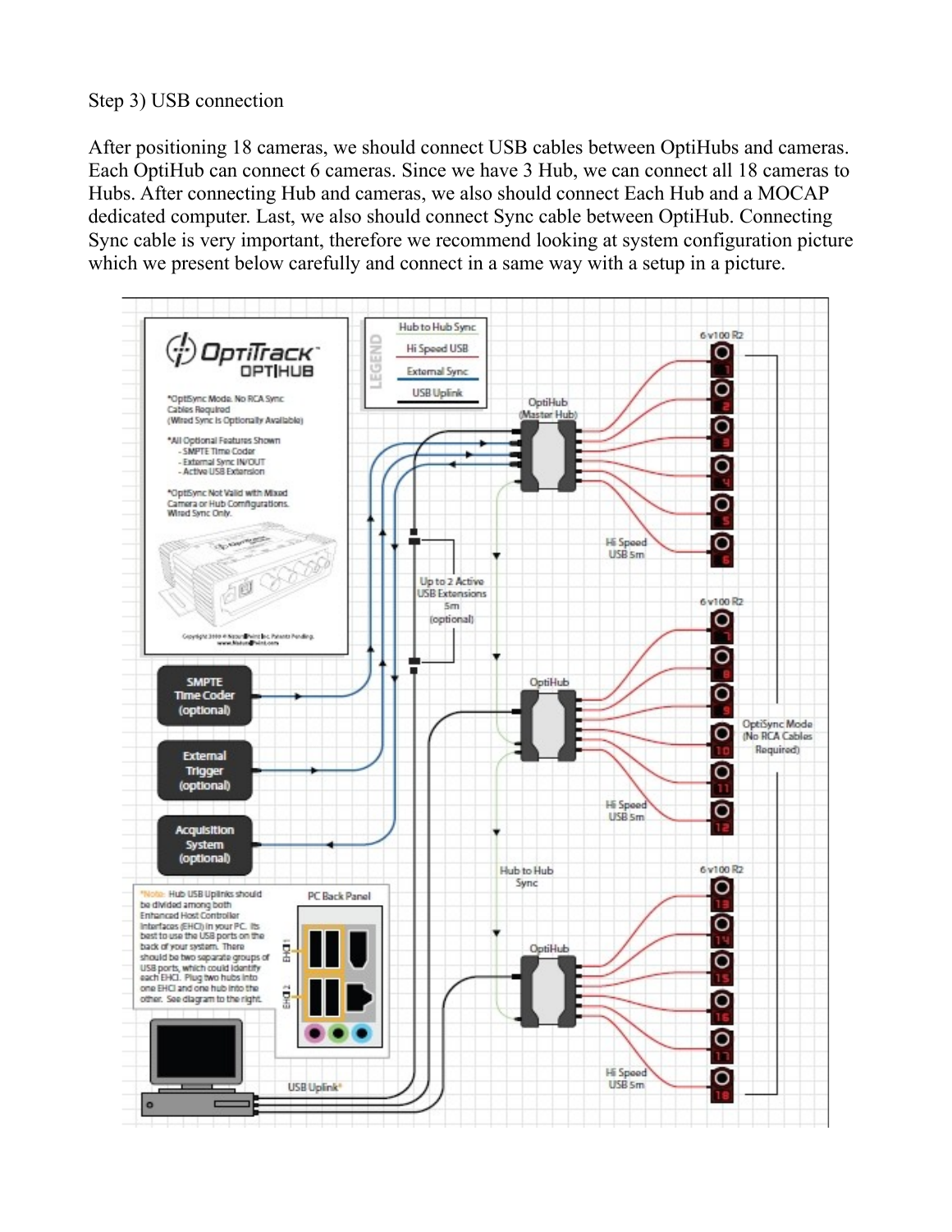## Step 3) USB connection

After positioning 18 cameras, we should connect USB cables between OptiHubs and cameras. Each OptiHub can connect 6 cameras. Since we have 3 Hub, we can connect all 18 cameras to Hubs. After connecting Hub and cameras, we also should connect Each Hub and a MOCAP dedicated computer. Last, we also should connect Sync cable between OptiHub. Connecting Sync cable is very important, therefore we recommend looking at system configuration picture which we present below carefully and connect in a same way with a setup in a picture.

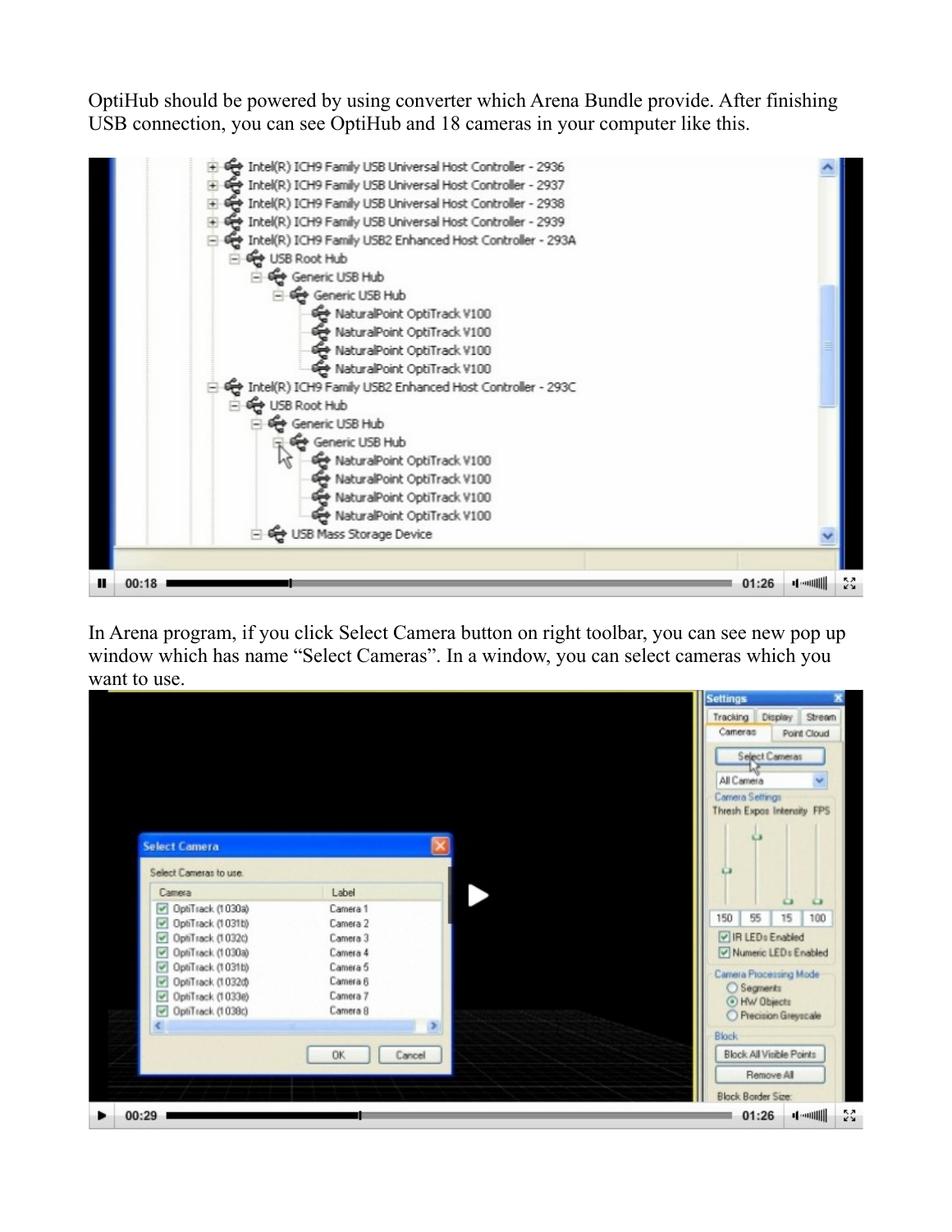OptiHub should be powered by using converter which Arena Bundle provide. After finishing USB connection, you can see OptiHub and 18 cameras in your computer like this.



In Arena program, if you click Select Camera button on right toolbar, you can see new pop up window which has name "Select Cameras". In a window, you can select cameras which you want to use.

|                                              |                     | <b>Settings</b><br>Tracking Display<br>Stream |
|----------------------------------------------|---------------------|-----------------------------------------------|
|                                              |                     | Comeras<br>Point Cloud                        |
|                                              |                     | Select Cameras                                |
|                                              |                     | All Camera                                    |
|                                              |                     | Camera Settings                               |
|                                              |                     | Thresh Expos Intensity FPS                    |
| <b>Select Camera</b>                         |                     |                                               |
| Select Cameras to use.                       |                     | o                                             |
| Camera                                       | Label               |                                               |
| OptiTrack (1030a)                            | Camera 1            | $\omega$<br>$\circ$                           |
| $\overline{\mathbf{v}}$<br>OptiTrack (1031b) | Camera 2            | 100<br>150<br>55<br>15                        |
| OphTrack (1032c)                             | Camera 3            | IR LEDs Enabled                               |
| OptiTrack (1030a)<br>$\checkmark$            | Camera 4            | V Numeric LEDs Enabled                        |
| $\overline{\mathbf{v}}$<br>OptiTrack (1031b) | Camera 5            | Camera Processing Mode                        |
| $\overline{\mathbf{v}}$<br>OptiTrack (1032d) | Camera 6            | ○ Segments                                    |
| OptiTrack (1033e)<br>$\blacktriangledown$    | Camera 7            | O HW Objects                                  |
| $\blacktriangledown$<br>OptiTrack (1038c)    | Camera 8            | Precision Greyscale                           |
| K                                            | $\rightarrow$       | <b>Block</b>                                  |
|                                              |                     |                                               |
|                                              | <b>DK</b><br>Cancel | Block All Visible Points                      |
|                                              |                     |                                               |
|                                              |                     | Remove All                                    |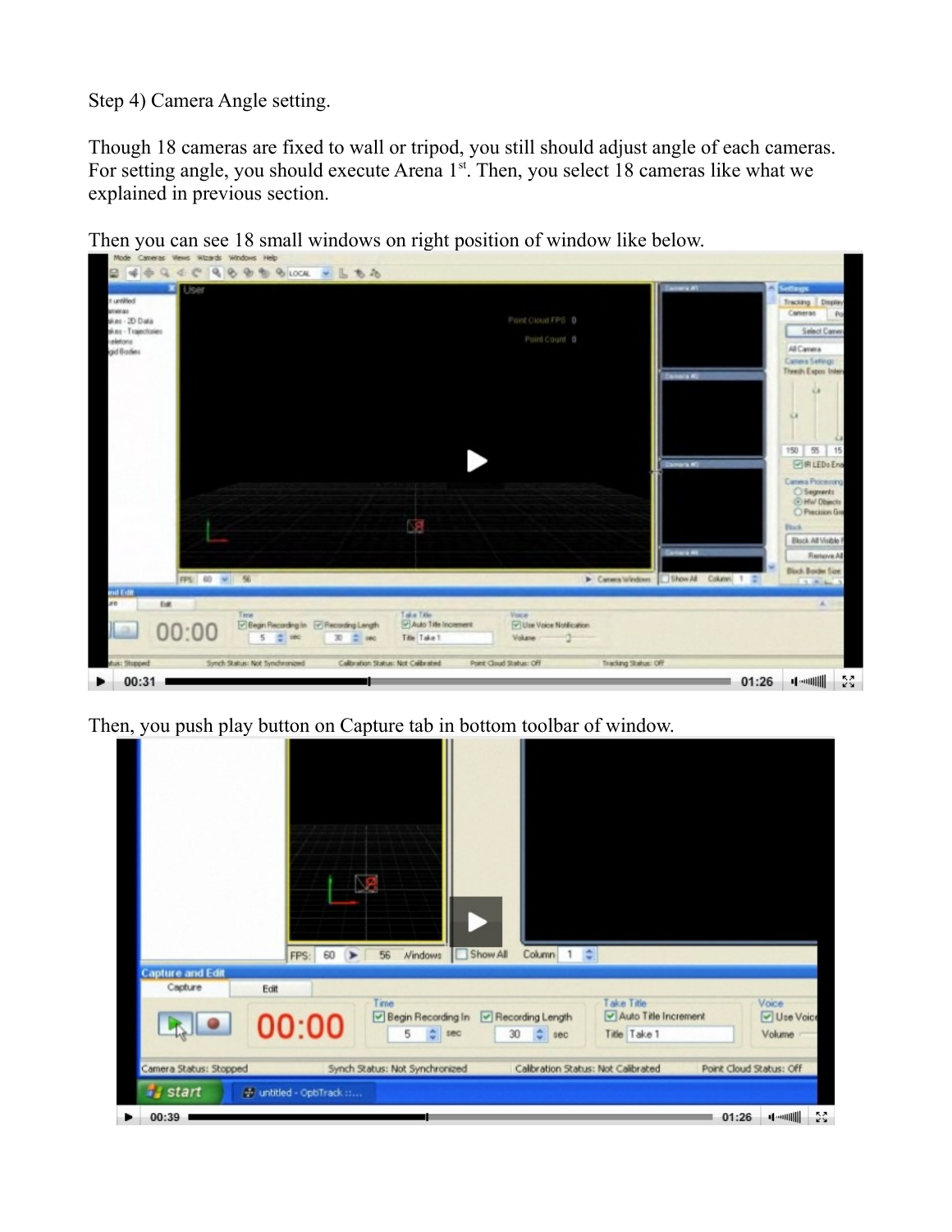Step 4) Camera Angle setting.

Though 18 cameras are fixed to wall or tripod, you still should adjust angle of each cameras. For setting angle, you should execute Arena 1<sup>st</sup>. Then, you select 18 cameras like what we explained in previous section.

Then you can see 18 small windows on right position of window like below.



Then, you push play button on Capture tab in bottom toolbar of window.

| <b>Capture and Edit</b><br>Capture              | 60<br>FPS:<br>$\rightarrow$<br>Edit | Show All<br>Column 1 :<br>56<br><b>Nindows</b>                                            |                                                    |                              |
|-------------------------------------------------|-------------------------------------|-------------------------------------------------------------------------------------------|----------------------------------------------------|------------------------------|
|                                                 | 00:00                               | Time<br>Begin Recording In<br>Recording Length<br>$C$ sec<br>5<br>30<br>$\frac{4}{9}$ sec | Take Title<br>Auto Title Increment<br>Title Take 1 | Voice<br>Use Voice<br>Volume |
| Camera Status: Stopped<br><b><i>i</i></b> start | → untitled - OptiTrack ::           | Synch Status: Not Synchronized                                                            | Calibration Status: Not Calibrated                 | Point Cloud Status: Off      |
| 00:39                                           |                                     |                                                                                           |                                                    | <b>4-000000</b><br>01:26     |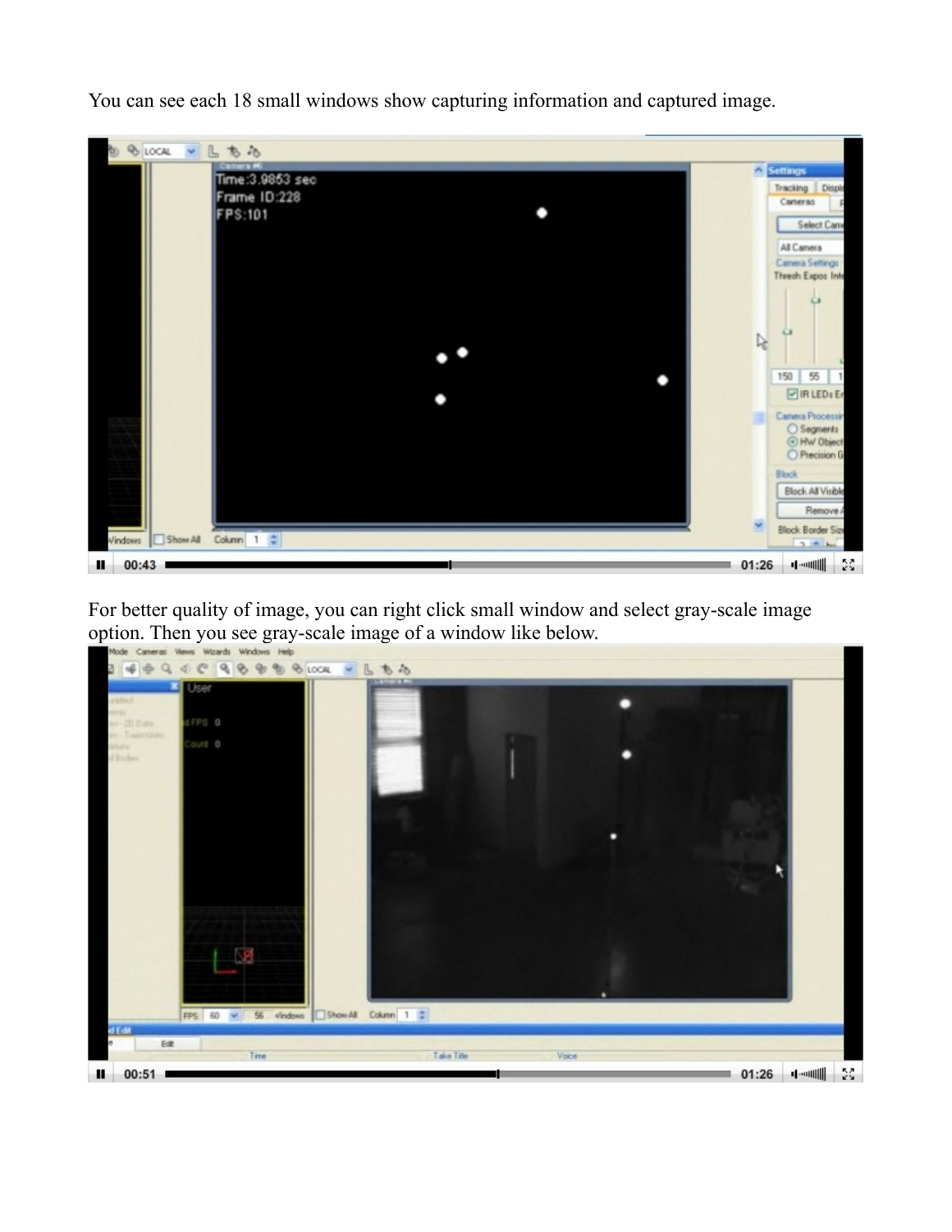You can see each 18 small windows show capturing information and captured image.



For better quality of image, you can right click small window and select gray-scale image option. Then you see gray-scale image of a window like below.